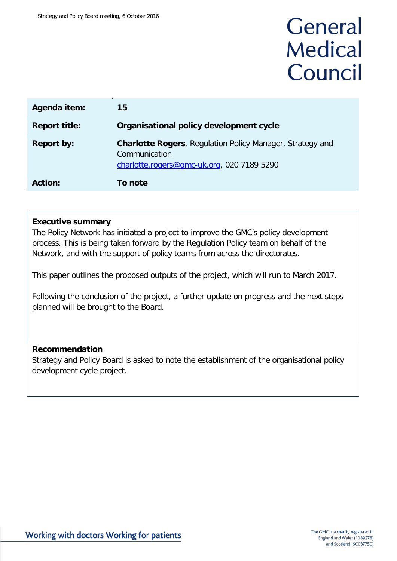# General **Medical** Council

| Agenda item:         | 15                                                                                                                              |
|----------------------|---------------------------------------------------------------------------------------------------------------------------------|
| <b>Report title:</b> | Organisational policy development cycle                                                                                         |
| <b>Report by:</b>    | <b>Charlotte Rogers, Regulation Policy Manager, Strategy and</b><br>Communication<br>charlotte.rogers@gmc-uk.org, 020 7189 5290 |
| <b>Action:</b>       | To note                                                                                                                         |

### **Executive summary**

The Policy Network has initiated a project to improve the GMC's policy development process. This is being taken forward by the Regulation Policy team on behalf of the Network, and with the support of policy teams from across the directorates.

This paper outlines the proposed outputs of the project, which will run to March 2017.

Following the conclusion of the project, a further update on progress and the next steps planned will be brought to the Board.

# **Recommendation**

Strategy and Policy Board is asked to note the establishment of the organisational policy development cycle project.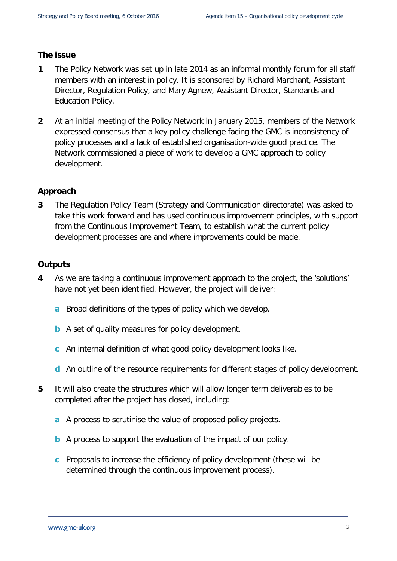### **The issue**

- **1** The Policy Network was set up in late 2014 as an informal monthly forum for all staff members with an interest in policy. It is sponsored by Richard Marchant, Assistant Director, Regulation Policy, and Mary Agnew, Assistant Director, Standards and Education Policy.
- **2** At an initial meeting of the Policy Network in January 2015, members of the Network expressed consensus that a key policy challenge facing the GMC is inconsistency of policy processes and a lack of established organisation-wide good practice. The Network commissioned a piece of work to develop a GMC approach to policy development.

# **Approach**

**3** The Regulation Policy Team (Strategy and Communication directorate) was asked to take this work forward and has used continuous improvement principles, with support from the Continuous Improvement Team, to establish what the current policy development processes are and where improvements could be made.

# **Outputs**

- **4** As we are taking a continuous improvement approach to the project, the 'solutions' have not yet been identified. However, the project will deliver:
	- **a** Broad definitions of the types of policy which we develop.
	- **b** A set of quality measures for policy development.
	- **c** An internal definition of what good policy development looks like.
	- **d** An outline of the resource requirements for different stages of policy development.
- **5** It will also create the structures which will allow longer term deliverables to be completed after the project has closed, including:
	- **a** A process to scrutinise the value of proposed policy projects.
	- **b** A process to support the evaluation of the impact of our policy.
	- **c** Proposals to increase the efficiency of policy development (these will be determined through the continuous improvement process).